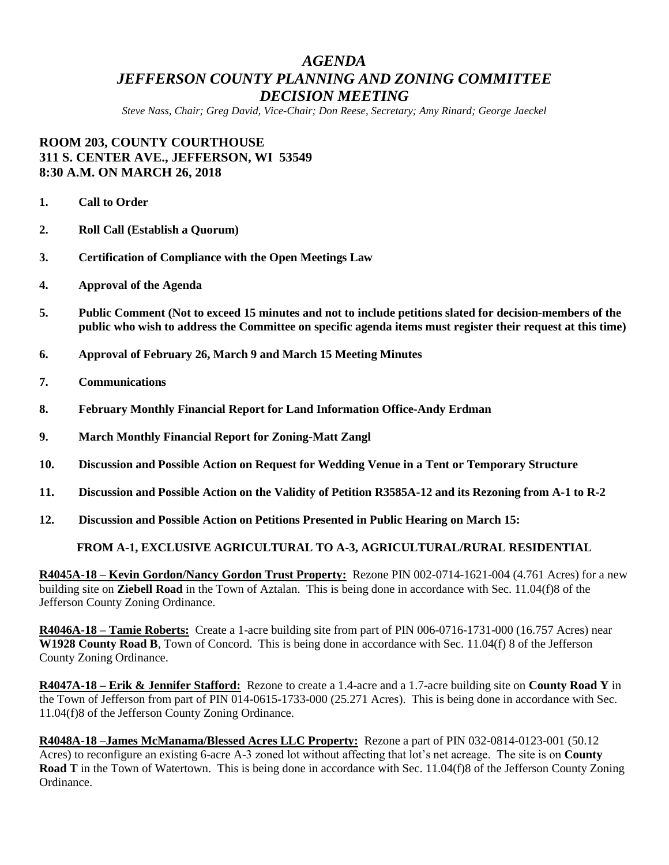# *AGENDA JEFFERSON COUNTY PLANNING AND ZONING COMMITTEE DECISION MEETING*

*Steve Nass, Chair; Greg David, Vice-Chair; Don Reese, Secretary; Amy Rinard; George Jaeckel*

# **ROOM 203, COUNTY COURTHOUSE 311 S. CENTER AVE., JEFFERSON, WI 53549 8:30 A.M. ON MARCH 26, 2018**

- **1. Call to Order**
- **2. Roll Call (Establish a Quorum)**
- **3. Certification of Compliance with the Open Meetings Law**
- **4. Approval of the Agenda**
- **5. Public Comment (Not to exceed 15 minutes and not to include petitions slated for decision-members of the public who wish to address the Committee on specific agenda items must register their request at this time)**
- **6. Approval of February 26, March 9 and March 15 Meeting Minutes**
- **7. Communications**
- **8. February Monthly Financial Report for Land Information Office-Andy Erdman**
- **9. March Monthly Financial Report for Zoning-Matt Zangl**
- **10. Discussion and Possible Action on Request for Wedding Venue in a Tent or Temporary Structure**
- **11. Discussion and Possible Action on the Validity of Petition R3585A-12 and its Rezoning from A-1 to R-2**
- **12. Discussion and Possible Action on Petitions Presented in Public Hearing on March 15:**

## **FROM A-1, EXCLUSIVE AGRICULTURAL TO A-3, AGRICULTURAL/RURAL RESIDENTIAL**

**R4045A-18 – Kevin Gordon/Nancy Gordon Trust Property:** Rezone PIN 002-0714-1621-004 (4.761 Acres) for a new building site on **Ziebell Road** in the Town of Aztalan. This is being done in accordance with Sec. 11.04(f)8 of the Jefferson County Zoning Ordinance.

**R4046A-18 – Tamie Roberts:** Create a 1-acre building site from part of PIN 006-0716-1731-000 (16.757 Acres) near **W1928 County Road B**, Town of Concord. This is being done in accordance with Sec. 11.04(f) 8 of the Jefferson County Zoning Ordinance.

**R4047A-18 – Erik & Jennifer Stafford:** Rezone to create a 1.4-acre and a 1.7-acre building site on **County Road Y** in the Town of Jefferson from part of PIN 014-0615-1733-000 (25.271 Acres). This is being done in accordance with Sec. 11.04(f)8 of the Jefferson County Zoning Ordinance.

**R4048A-18 –James McManama/Blessed Acres LLC Property:** Rezone a part of PIN 032-0814-0123-001 (50.12 Acres) to reconfigure an existing 6-acre A-3 zoned lot without affecting that lot's net acreage. The site is on **County Road T** in the Town of Watertown. This is being done in accordance with Sec. 11.04(f)8 of the Jefferson County Zoning Ordinance.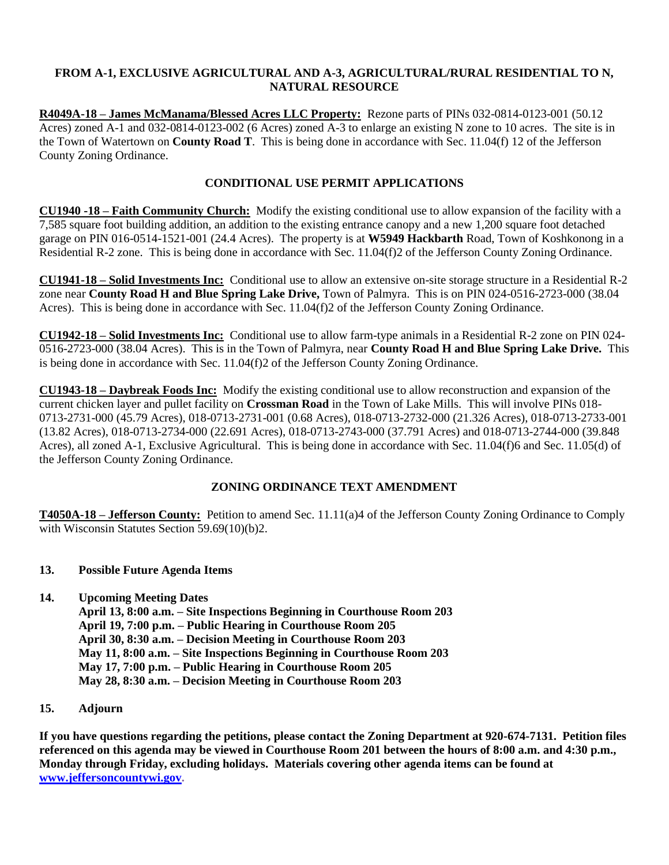## **FROM A-1, EXCLUSIVE AGRICULTURAL AND A-3, AGRICULTURAL/RURAL RESIDENTIAL TO N, NATURAL RESOURCE**

**R4049A-18 – James McManama/Blessed Acres LLC Property:** Rezone parts of PINs 032-0814-0123-001 (50.12 Acres) zoned A-1 and 032-0814-0123-002 (6 Acres) zoned A-3 to enlarge an existing N zone to 10 acres. The site is in the Town of Watertown on **County Road T**. This is being done in accordance with Sec. 11.04(f) 12 of the Jefferson County Zoning Ordinance.

## **CONDITIONAL USE PERMIT APPLICATIONS**

**CU1940 -18 – Faith Community Church:** Modify the existing conditional use to allow expansion of the facility with a 7,585 square foot building addition, an addition to the existing entrance canopy and a new 1,200 square foot detached garage on PIN 016-0514-1521-001 (24.4 Acres). The property is at **W5949 Hackbarth** Road, Town of Koshkonong in a Residential R-2 zone. This is being done in accordance with Sec. 11.04(f)2 of the Jefferson County Zoning Ordinance.

**CU1941-18 – Solid Investments Inc:** Conditional use to allow an extensive on-site storage structure in a Residential R-2 zone near **County Road H and Blue Spring Lake Drive,** Town of Palmyra. This is on PIN 024-0516-2723-000 (38.04 Acres). This is being done in accordance with Sec. 11.04(f)2 of the Jefferson County Zoning Ordinance.

**CU1942-18 – Solid Investments Inc:** Conditional use to allow farm-type animals in a Residential R-2 zone on PIN 024- 0516-2723-000 (38.04 Acres). This is in the Town of Palmyra, near **County Road H and Blue Spring Lake Drive.** This is being done in accordance with Sec. 11.04(f)2 of the Jefferson County Zoning Ordinance.

**CU1943-18 – Daybreak Foods Inc:** Modify the existing conditional use to allow reconstruction and expansion of the current chicken layer and pullet facility on **Crossman Road** in the Town of Lake Mills. This will involve PINs 018- 0713-2731-000 (45.79 Acres), 018-0713-2731-001 (0.68 Acres), 018-0713-2732-000 (21.326 Acres), 018-0713-2733-001 (13.82 Acres), 018-0713-2734-000 (22.691 Acres), 018-0713-2743-000 (37.791 Acres) and 018-0713-2744-000 (39.848 Acres), all zoned A-1, Exclusive Agricultural. This is being done in accordance with Sec. 11.04(f)6 and Sec. 11.05(d) of the Jefferson County Zoning Ordinance.

## **ZONING ORDINANCE TEXT AMENDMENT**

**T4050A-18 – Jefferson County:** Petition to amend Sec. 11.11(a)4 of the Jefferson County Zoning Ordinance to Comply with Wisconsin Statutes Section 59.69(10)(b)2.

## **13. Possible Future Agenda Items**

- **14. Upcoming Meeting Dates**
	- **April 13, 8:00 a.m. – Site Inspections Beginning in Courthouse Room 203 April 19, 7:00 p.m. – Public Hearing in Courthouse Room 205 April 30, 8:30 a.m. – Decision Meeting in Courthouse Room 203 May 11, 8:00 a.m. – Site Inspections Beginning in Courthouse Room 203 May 17, 7:00 p.m. – Public Hearing in Courthouse Room 205 May 28, 8:30 a.m. – Decision Meeting in Courthouse Room 203**

## **15. Adjourn**

**If you have questions regarding the petitions, please contact the Zoning Department at 920-674-7131. Petition files referenced on this agenda may be viewed in Courthouse Room 201 between the hours of 8:00 a.m. and 4:30 p.m., Monday through Friday, excluding holidays. Materials covering other agenda items can be found at [www.jeffersoncountywi.gov.](http://www.jeffersoncountywi.gov/)**